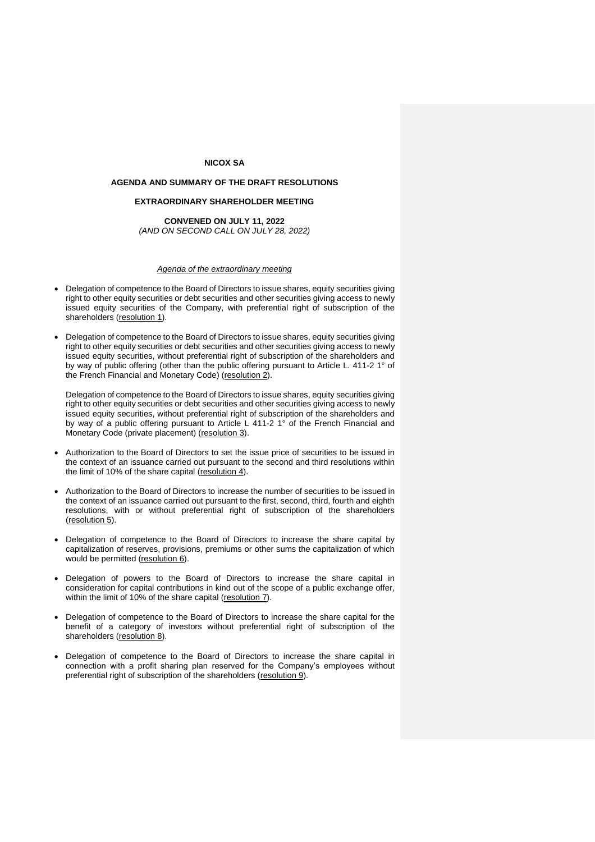# **NICOX SA**

## **AGENDA AND SUMMARY OF THE DRAFT RESOLUTIONS**

# **EXTRAORDINARY SHAREHOLDER MEETING**

## **CONVENED ON JULY 11, 2022** *(AND ON SECOND CALL ON JULY 28, 2022)*

### *Agenda of the extraordinary meeting*

- Delegation of competence to the Board of Directors to issue shares, equity securities giving right to other equity securities or debt securities and other securities giving access to newly issued equity securities of the Company, with preferential right of subscription of the shareholders (resolution 1).
- Delegation of competence to the Board of Directors to issue shares, equity securities giving right to other equity securities or debt securities and other securities giving access to newly issued equity securities, without preferential right of subscription of the shareholders and by way of public offering (other than the public offering pursuant to Article L. 411-2 1° of the French Financial and Monetary Code) (resolution 2).

Delegation of competence to the Board of Directors to issue shares, equity securities giving right to other equity securities or debt securities and other securities giving access to newly issued equity securities, without preferential right of subscription of the shareholders and by way of a public offering pursuant to Article L 411-2 1° of the French Financial and Monetary Code (private placement) (resolution 3).

- Authorization to the Board of Directors to set the issue price of securities to be issued in the context of an issuance carried out pursuant to the second and third resolutions within the limit of 10% of the share capital (resolution 4).
- Authorization to the Board of Directors to increase the number of securities to be issued in the context of an issuance carried out pursuant to the first, second, third, fourth and eighth resolutions, with or without preferential right of subscription of the shareholders (resolution 5).
- Delegation of competence to the Board of Directors to increase the share capital by capitalization of reserves, provisions, premiums or other sums the capitalization of which would be permitted (resolution 6).
- Delegation of powers to the Board of Directors to increase the share capital in consideration for capital contributions in kind out of the scope of a public exchange offer, within the limit of 10% of the share capital (resolution 7).
- Delegation of competence to the Board of Directors to increase the share capital for the benefit of a category of investors without preferential right of subscription of the shareholders (resolution 8).
- Delegation of competence to the Board of Directors to increase the share capital in connection with a profit sharing plan reserved for the Company's employees without preferential right of subscription of the shareholders (resolution 9).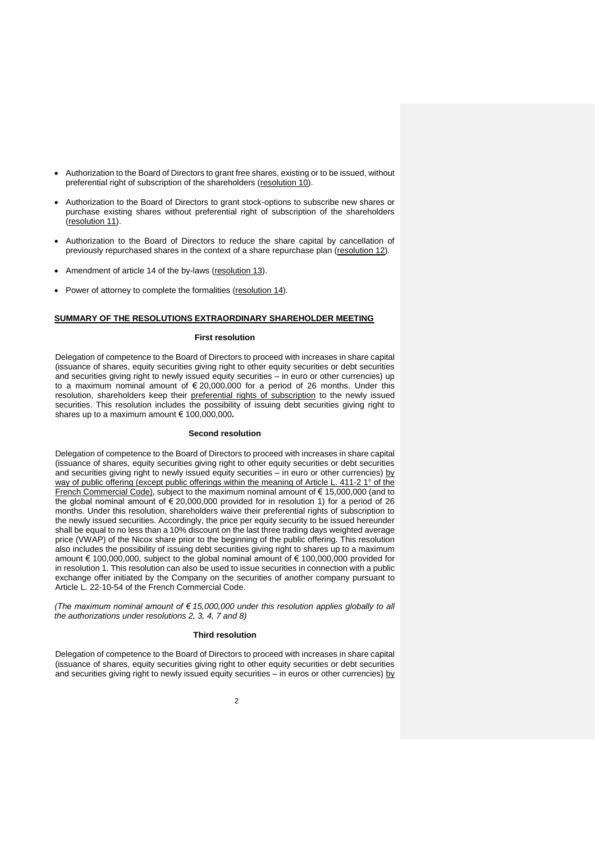- Authorization to the Board of Directors to grant free shares, existing or to be issued, without preferential right of subscription of the shareholders (resolution 10).
- Authorization to the Board of Directors to grant stock-options to subscribe new shares or purchase existing shares without preferential right of subscription of the shareholders (resolution 11).
- Authorization to the Board of Directors to reduce the share capital by cancellation of previously repurchased shares in the context of a share repurchase plan (resolution 12).
- Amendment of article 14 of the by-laws (resolution 13).
- Power of attorney to complete the formalities (resolution 14).

## **SUMMARY OF THE RESOLUTIONS EXTRAORDINARY SHAREHOLDER MEETING**

#### **First resolution**

Delegation of competence to the Board of Directors to proceed with increases in share capital (issuance of shares, equity securities giving right to other equity securities or debt securities and securities giving right to newly issued equity securities – in euro or other currencies) up to a maximum nominal amount of  $\epsilon$  20,000,000 for a period of 26 months. Under this resolution, shareholders keep their preferential rights of subscription to the newly issued securities. This resolution includes the possibility of issuing debt securities giving right to shares up to a maximum amount € 100,000,000**.**

# **Second resolution**

Delegation of competence to the Board of Directors to proceed with increases in share capital (issuance of shares, equity securities giving right to other equity securities or debt securities and securities giving right to newly issued equity securities – in euro or other currencies) by way of public offering (except public offerings within the meaning of Article L. 411-2 1° of the French Commercial Code), subject to the maximum nominal amount of € 15,000,000 (and to the global nominal amount of  $\epsilon$  20,000,000 provided for in resolution 1) for a period of 26 months. Under this resolution, shareholders waive their preferential rights of subscription to the newly issued securities. Accordingly, the price per equity security to be issued hereunder shall be equal to no less than a 10% discount on the last three trading days weighted average price (VWAP) of the Nicox share prior to the beginning of the public offering. This resolution also includes the possibility of issuing debt securities giving right to shares up to a maximum amount € 100,000,000, subject to the global nominal amount of € 100,000,000 provided for in resolution 1. This resolution can also be used to issue securities in connection with a public exchange offer initiated by the Company on the securities of another company pursuant to Article L. 22-10-54 of the French Commercial Code.

*(The maximum nominal amount of € 15,000,000 under this resolution applies globally to all the authorizations under resolutions 2, 3, 4, 7 and 8)*

## **Third resolution**

Delegation of competence to the Board of Directors to proceed with increases in share capital (issuance of shares, equity securities giving right to other equity securities or debt securities and securities giving right to newly issued equity securities  $-$  in euros or other currencies) by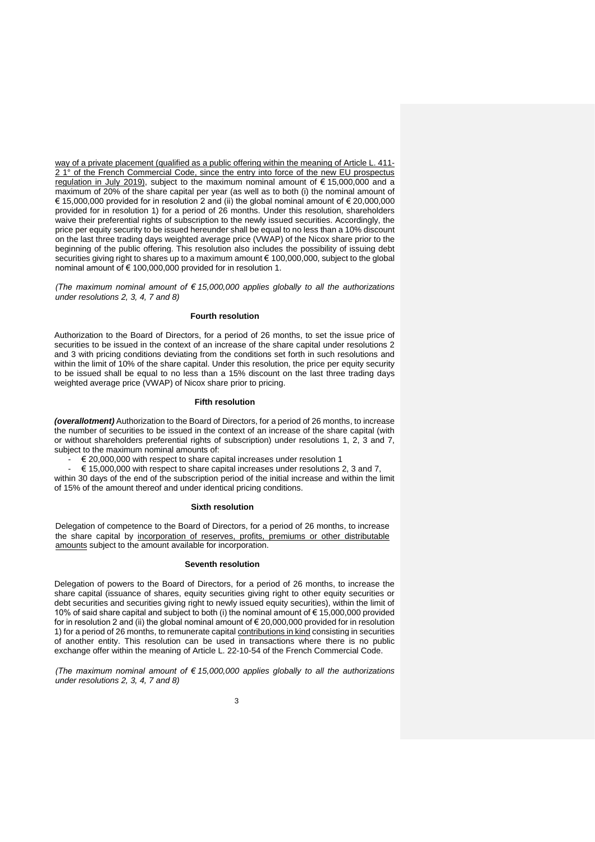way of a private placement (qualified as a public offering within the meaning of Article L. 411- 2 1° of the French Commercial Code, since the entry into force of the new EU prospectus regulation in July 2019), subject to the maximum nominal amount of € 15,000,000 and a maximum of 20% of the share capital per year (as well as to both (i) the nominal amount of € 15,000,000 provided for in resolution 2 and (ii) the global nominal amount of € 20,000,000 provided for in resolution 1) for a period of 26 months. Under this resolution, shareholders waive their preferential rights of subscription to the newly issued securities. Accordingly, the price per equity security to be issued hereunder shall be equal to no less than a 10% discount on the last three trading days weighted average price (VWAP) of the Nicox share prior to the beginning of the public offering. This resolution also includes the possibility of issuing debt securities giving right to shares up to a maximum amount € 100,000,000, subject to the global nominal amount of € 100,000,000 provided for in resolution 1.

*(The maximum nominal amount of € 15,000,000 applies globally to all the authorizations under resolutions 2, 3, 4, 7 and 8)*

#### **Fourth resolution**

Authorization to the Board of Directors, for a period of 26 months, to set the issue price of securities to be issued in the context of an increase of the share capital under resolutions 2 and 3 with pricing conditions deviating from the conditions set forth in such resolutions and within the limit of 10% of the share capital. Under this resolution, the price per equity security to be issued shall be equal to no less than a 15% discount on the last three trading days weighted average price (VWAP) of Nicox share prior to pricing.

#### **Fifth resolution**

*(overallotment)* Authorization to the Board of Directors, for a period of 26 months, to increase the number of securities to be issued in the context of an increase of the share capital (with or without shareholders preferential rights of subscription) under resolutions 1, 2, 3 and 7, subject to the maximum nominal amounts of:

€ 20,000,000 with respect to share capital increases under resolution 1

 $\epsilon$  15,000,000 with respect to share capital increases under resolutions 2, 3 and 7, within 30 days of the end of the subscription period of the initial increase and within the limit of 15% of the amount thereof and under identical pricing conditions.

#### **Sixth resolution**

Delegation of competence to the Board of Directors, for a period of 26 months, to increase the share capital by incorporation of reserves, profits, premiums or other distributable amounts subject to the amount available for incorporation.

### **Seventh resolution**

Delegation of powers to the Board of Directors, for a period of 26 months, to increase the share capital (issuance of shares, equity securities giving right to other equity securities or debt securities and securities giving right to newly issued equity securities), within the limit of 10% of said share capital and subject to both (i) the nominal amount of € 15,000,000 provided for in resolution 2 and (ii) the global nominal amount of  $\epsilon$  20,000,000 provided for in resolution 1) for a period of 26 months, to remunerate capital contributions in kind consisting in securities of another entity. This resolution can be used in transactions where there is no public exchange offer within the meaning of Article L. 22-10-54 of the French Commercial Code.

*(The maximum nominal amount of € 15,000,000 applies globally to all the authorizations under resolutions 2, 3, 4, 7 and 8)*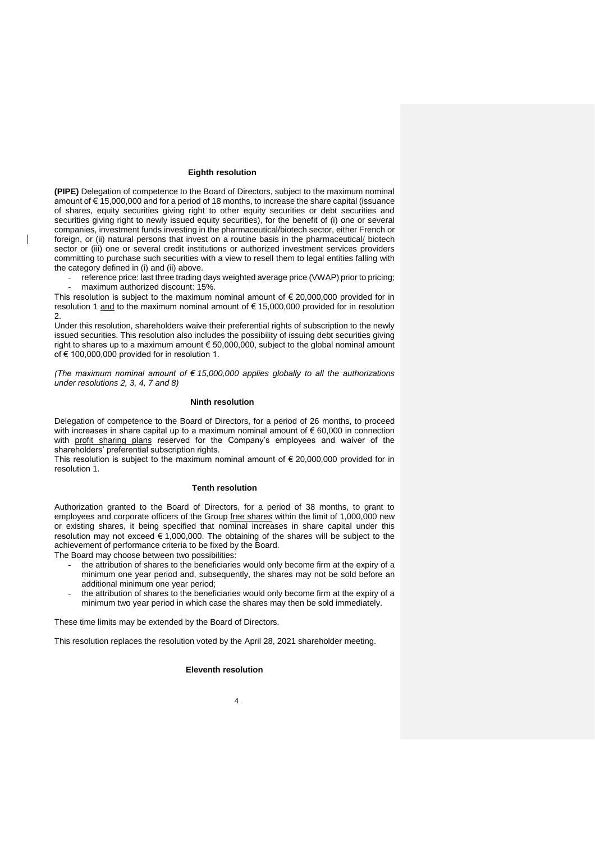#### **Eighth resolution**

**(PIPE)** Delegation of competence to the Board of Directors, subject to the maximum nominal amount of € 15,000,000 and for a period of 18 months, to increase the share capital (issuance of shares, equity securities giving right to other equity securities or debt securities and securities giving right to newly issued equity securities), for the benefit of (i) one or several companies, investment funds investing in the pharmaceutical/biotech sector, either French or foreign, or (ii) natural persons that invest on a routine basis in the pharmaceutical/ biotech sector or (iii) one or several credit institutions or authorized investment services providers committing to purchase such securities with a view to resell them to legal entities falling with the category defined in (i) and (ii) above.

reference price: last three trading days weighted average price (VWAP) prior to pricing; maximum authorized discount: 15%.

This resolution is subject to the maximum nominal amount of  $\epsilon$  20,000,000 provided for in resolution 1 and to the maximum nominal amount of € 15,000,000 provided for in resolution  $\mathcal{L}$ 

Under this resolution, shareholders waive their preferential rights of subscription to the newly issued securities. This resolution also includes the possibility of issuing debt securities giving right to shares up to a maximum amount € 50,000,000, subject to the global nominal amount of € 100,000,000 provided for in resolution 1.

*(The maximum nominal amount of € 15,000,000 applies globally to all the authorizations under resolutions 2, 3, 4, 7 and 8)*

## **Ninth resolution**

Delegation of competence to the Board of Directors, for a period of 26 months, to proceed with increases in share capital up to a maximum nominal amount of  $\epsilon$  60,000 in connection with profit sharing plans reserved for the Company's employees and waiver of the shareholders' preferential subscription rights.

This resolution is subject to the maximum nominal amount of  $\epsilon$  20,000,000 provided for in resolution 1.

### **Tenth resolution**

Authorization granted to the Board of Directors, for a period of 38 months, to grant to employees and corporate officers of the Group free shares within the limit of 1,000,000 new or existing shares, it being specified that nominal increases in share capital under this resolution may not exceed  $\epsilon$  1,000,000. The obtaining of the shares will be subject to the achievement of performance criteria to be fixed by the Board.

The Board may choose between two possibilities:

 $\mathsf{I}$ 

- the attribution of shares to the beneficiaries would only become firm at the expiry of a minimum one year period and, subsequently, the shares may not be sold before an additional minimum one year period;
- the attribution of shares to the beneficiaries would only become firm at the expiry of a minimum two year period in which case the shares may then be sold immediately.

These time limits may be extended by the Board of Directors.

This resolution replaces the resolution voted by the April 28, 2021 shareholder meeting.

## **Eleventh resolution**